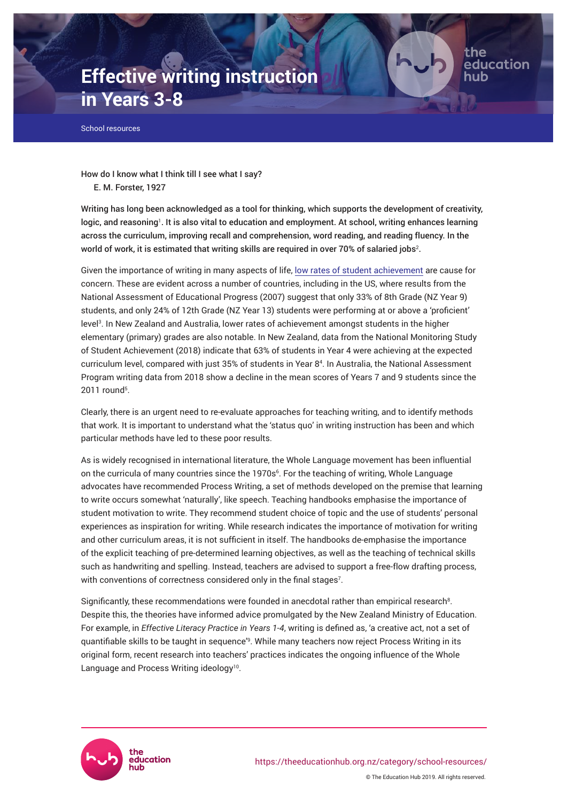# **Effective writing instruction in Years 3-8**

School resources

How do I know what I think till I see what I say? E. M. Forster, 1927

Writing has long been acknowledged as a tool for thinking, which supports the development of creativity, logic, and reasoning<sup>1</sup>. It is also vital to education and employment. At school, writing enhances learning across the curriculum, improving recall and comprehension, word reading, and reading fluency. In the world of work, it is estimated that writing skills are required in over 70% of salaried jobs $^{\rm 2.}$ 

the

education

Given the importance of writing in many aspects of life, [low rates of student achievement](https://theeducationhub.org.nz/now-i-dont-know-my-abc/) are cause for concern. These are evident across a number of countries, including in the US, where results from the National Assessment of Educational Progress (2007) suggest that only 33% of 8th Grade (NZ Year 9) students, and only 24% of 12th Grade (NZ Year 13) students were performing at or above a 'proficient' level<sup>3</sup> . In New Zealand and Australia, lower rates of achievement amongst students in the higher elementary (primary) grades are also notable. In New Zealand, data from the National Monitoring Study of Student Achievement (2018) indicate that 63% of students in Year 4 were achieving at the expected curriculum level, compared with just 35% of students in Year 8<sup>4</sup> . In Australia, the National Assessment Program writing data from 2018 show a decline in the mean scores of Years 7 and 9 students since the 2011 round<sup>5</sup>.

Clearly, there is an urgent need to re-evaluate approaches for teaching writing, and to identify methods that work. It is important to understand what the 'status quo' in writing instruction has been and which particular methods have led to these poor results.

As is widely recognised in international literature, the Whole Language movement has been influential on the curricula of many countries since the 1970s<sup>6</sup>. For the teaching of writing, Whole Language advocates have recommended Process Writing, a set of methods developed on the premise that learning to write occurs somewhat 'naturally', like speech. Teaching handbooks emphasise the importance of student motivation to write. They recommend student choice of topic and the use of students' personal experiences as inspiration for writing. While research indicates the importance of motivation for writing and other curriculum areas, it is not sufficient in itself. The handbooks de-emphasise the importance of the explicit teaching of pre-determined learning objectives, as well as the teaching of technical skills such as handwriting and spelling. Instead, teachers are advised to support a free-flow drafting process, with conventions of correctness considered only in the final stages $7$ .

Significantly, these recommendations were founded in anecdotal rather than empirical research<sup>8</sup>. Despite this, the theories have informed advice promulgated by the New Zealand Ministry of Education. For example, in *Effective Literacy Practice in Years 1-4*, writing is defined as, 'a creative act, not a set of quantifiable skills to be taught in sequence'<sup>9</sup> . While many teachers now reject Process Writing in its original form, recent research into teachers' practices indicates the ongoing influence of the Whole Language and Process Writing ideology<sup>10</sup>.

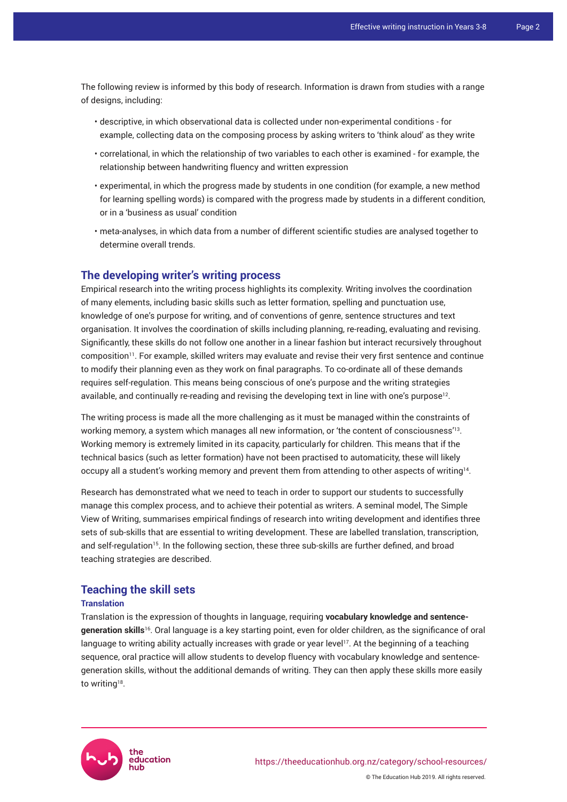The following review is informed by this body of research. Information is drawn from studies with a range of designs, including:

- descriptive, in which observational data is collected under non-experimental conditions for example, collecting data on the composing process by asking writers to 'think aloud' as they write
- correlational, in which the relationship of two variables to each other is examined for example, the relationship between handwriting fluency and written expression
- experimental, in which the progress made by students in one condition (for example, a new method for learning spelling words) is compared with the progress made by students in a different condition, or in a 'business as usual' condition
- meta-analyses, in which data from a number of different scientific studies are analysed together to determine overall trends.

# **The developing writer's writing process**

Empirical research into the writing process highlights its complexity. Writing involves the coordination of many elements, including basic skills such as letter formation, spelling and punctuation use, knowledge of one's purpose for writing, and of conventions of genre, sentence structures and text organisation. It involves the coordination of skills including planning, re-reading, evaluating and revising. Significantly, these skills do not follow one another in a linear fashion but interact recursively throughout composition<sup>11</sup>. For example, skilled writers may evaluate and revise their very first sentence and continue to modify their planning even as they work on final paragraphs. To co-ordinate all of these demands requires self-regulation. This means being conscious of one's purpose and the writing strategies available, and continually re-reading and revising the developing text in line with one's purpose<sup>12</sup>.

The writing process is made all the more challenging as it must be managed within the constraints of working memory, a system which manages all new information, or 'the content of consciousness'<sup>13</sup> . Working memory is extremely limited in its capacity, particularly for children. This means that if the technical basics (such as letter formation) have not been practised to automaticity, these will likely occupy all a student's working memory and prevent them from attending to other aspects of writing $^{14}\cdot$ 

Research has demonstrated what we need to teach in order to support our students to successfully manage this complex process, and to achieve their potential as writers. A seminal model, The Simple View of Writing, summarises empirical findings of research into writing development and identifies three sets of sub-skills that are essential to writing development. These are labelled translation, transcription, and self-regulation<sup>15</sup>. In the following section, these three sub-skills are further defined, and broad teaching strategies are described.

## **Teaching the skill sets**

#### **Translation**

Translation is the expression of thoughts in language, requiring **vocabulary knowledge and sentencegeneration skills**<sup>16</sup>. Oral language is a key starting point, even for older children, as the significance of oral language to writing ability actually increases with grade or year level<sup>17</sup>. At the beginning of a teaching sequence, oral practice will allow students to develop fluency with vocabulary knowledge and sentencegeneration skills, without the additional demands of writing. They can then apply these skills more easily to writing<sup>18</sup>.

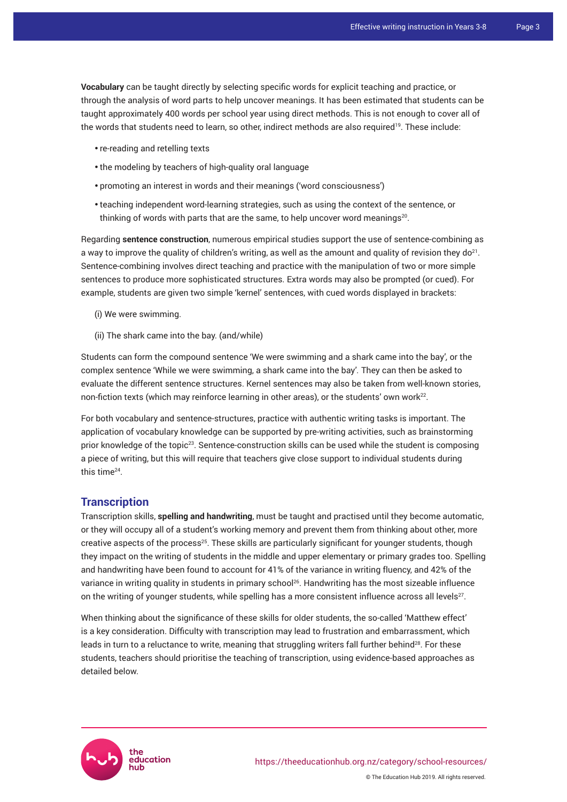**Vocabulary** can be taught directly by selecting specific words for explicit teaching and practice, or through the analysis of word parts to help uncover meanings. It has been estimated that students can be taught approximately 400 words per school year using direct methods. This is not enough to cover all of the words that students need to learn, so other, indirect methods are also required<sup>19</sup>. These include:

- re-reading and retelling texts
- the modeling by teachers of high-quality oral language
- promoting an interest in words and their meanings ('word consciousness')
- teaching independent word-learning strategies, such as using the context of the sentence, or thinking of words with parts that are the same, to help uncover word meanings $^{\rm 20}$ .

Regarding **sentence construction**, numerous empirical studies support the use of sentence-combining as a way to improve the quality of children's writing, as well as the amount and quality of revision they do<sup>21</sup>. Sentence-combining involves direct teaching and practice with the manipulation of two or more simple sentences to produce more sophisticated structures. Extra words may also be prompted (or cued). For example, students are given two simple 'kernel' sentences, with cued words displayed in brackets:

- (i) We were swimming.
- (ii) The shark came into the bay. (and/while)

Students can form the compound sentence 'We were swimming and a shark came into the bay'*,* or the complex sentence 'While we were swimming, a shark came into the bay'*.* They can then be asked to evaluate the different sentence structures. Kernel sentences may also be taken from well-known stories, non-fiction texts (which may reinforce learning in other areas), or the students' own work $^{22}$ .

For both vocabulary and sentence-structures, practice with authentic writing tasks is important. The application of vocabulary knowledge can be supported by pre-writing activities, such as brainstorming prior knowledge of the topic<sup>23</sup>. Sentence-construction skills can be used while the student is composing a piece of writing, but this will require that teachers give close support to individual students during this time<sup>24</sup> .

## **Transcription**

Transcription skills, **spelling and handwriting**, must be taught and practised until they become automatic, or they will occupy all of a student's working memory and prevent them from thinking about other, more creative aspects of the process<sup>25</sup>. These skills are particularly significant for younger students, though they impact on the writing of students in the middle and upper elementary or primary grades too. Spelling and handwriting have been found to account for 41% of the variance in writing fluency, and 42% of the variance in writing quality in students in primary school<sup>26</sup>. Handwriting has the most sizeable influence on the writing of younger students, while spelling has a more consistent influence across all levels $^{27}\cdot$ 

When thinking about the significance of these skills for older students, the so-called 'Matthew effect' is a key consideration. Difficulty with transcription may lead to frustration and embarrassment, which leads in turn to a reluctance to write, meaning that struggling writers fall further behind<sup>28</sup>. For these students, teachers should prioritise the teaching of transcription, using evidence-based approaches as detailed below.

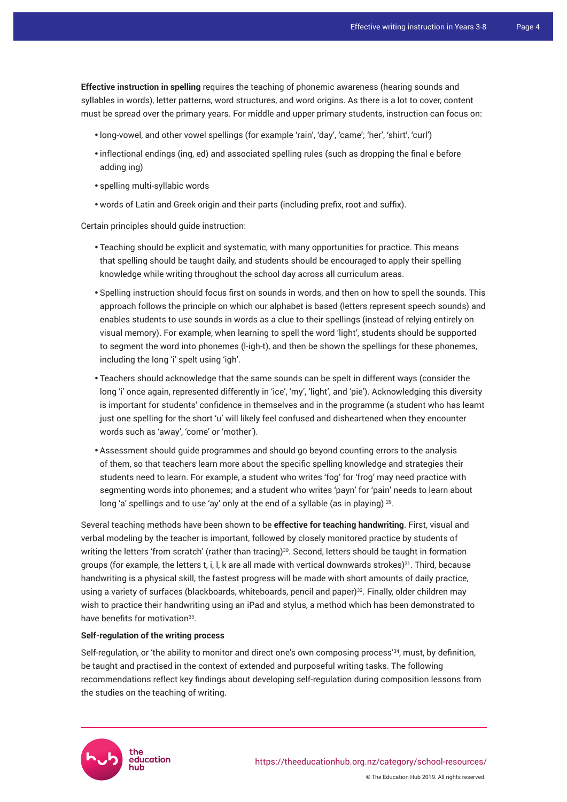**Effective instruction in spelling** requires the teaching of phonemic awareness (hearing sounds and syllables in words), letter patterns, word structures, and word origins. As there is a lot to cover, content must be spread over the primary years. For middle and upper primary students, instruction can focus on:

- long-vowel, and other vowel spellings (for example 'rain', 'day', 'came'; 'her', 'shirt', 'curl')
- inflectional endings (ing, ed) and associated spelling rules (such as dropping the final e before adding ing)
- spelling multi-syllabic words
- words of Latin and Greek origin and their parts (including prefix, root and suffix).

Certain principles should guide instruction:

- Teaching should be explicit and systematic, with many opportunities for practice. This means that spelling should be taught daily, and students should be encouraged to apply their spelling knowledge while writing throughout the school day across all curriculum areas.
- Spelling instruction should focus first on sounds in words, and then on how to spell the sounds. This approach follows the principle on which our alphabet is based (letters represent speech sounds) and enables students to use sounds in words as a clue to their spellings (instead of relying entirely on visual memory). For example, when learning to spell the word 'light', students should be supported to segment the word into phonemes (l-igh-t), and then be shown the spellings for these phonemes, including the long 'i' spelt using 'igh'.
- Teachers should acknowledge that the same sounds can be spelt in different ways (consider the long 'i' once again, represented differently in 'ice', 'my', 'light', and 'pie'). Acknowledging this diversity is important for students' confidence in themselves and in the programme (a student who has learnt just one spelling for the short 'u' will likely feel confused and disheartened when they encounter words such as 'away', 'come' or 'mother').
- Assessment should guide programmes and should go beyond counting errors to the analysis of them, so that teachers learn more about the specific spelling knowledge and strategies their students need to learn. For example, a student who writes 'fog' for 'frog' may need practice with segmenting words into phonemes; and a student who writes 'payn' for 'pain' needs to learn about long 'a' spellings and to use 'ay' only at the end of a syllable (as in playing) <sup>29</sup> .

Several teaching methods have been shown to be **effective for teaching handwriting**. First, visual and verbal modeling by the teacher is important, followed by closely monitored practice by students of writing the letters 'from scratch' (rather than tracing) $30$ . Second, letters should be taught in formation groups (for example, the letters t, i, l, k are all made with vertical downwards strokes)<sup>31</sup>. Third, because handwriting is a physical skill, the fastest progress will be made with short amounts of daily practice, using a variety of surfaces (blackboards, whiteboards, pencil and paper)<sup>32</sup>. Finally, older children may wish to practice their handwriting using an iPad and stylus, a method which has been demonstrated to have benefits for motivation<sup>33</sup>.

#### **Self-regulation of the writing process**

Self-regulation, or 'the ability to monitor and direct one's own composing process'<sup>34</sup>, must, by definition, be taught and practised in the context of extended and purposeful writing tasks. The following recommendations reflect key findings about developing self-regulation during composition lessons from the studies on the teaching of writing.

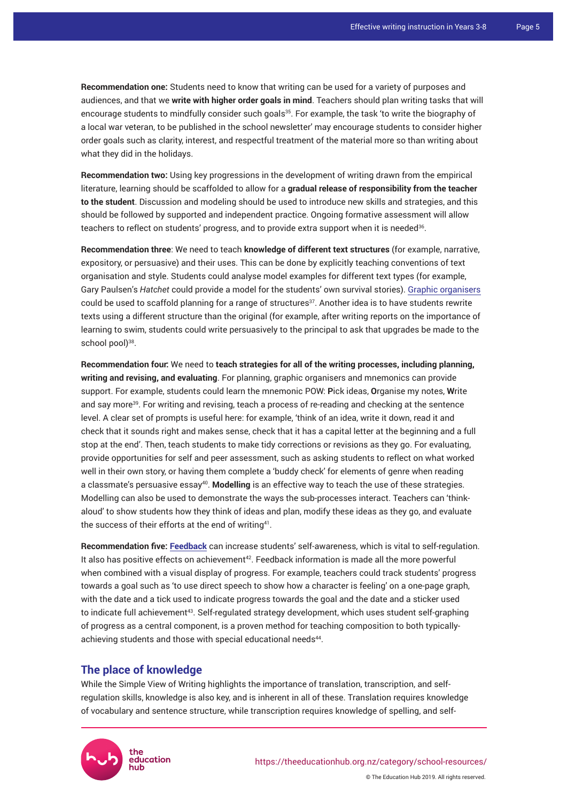**Recommendation one:** Students need to know that writing can be used for a variety of purposes and audiences, and that we **write with higher order goals in mind**. Teachers should plan writing tasks that will encourage students to mindfully consider such goals<sup>35</sup>. For example, the task 'to write the biography of a local war veteran, to be published in the school newsletter' may encourage students to consider higher order goals such as clarity, interest, and respectful treatment of the material more so than writing about what they did in the holidays.

**Recommendation two:** Using key progressions in the development of writing drawn from the empirical literature, learning should be scaffolded to allow for a **gradual release of responsibility from the teacher to the student**. Discussion and modeling should be used to introduce new skills and strategies, and this should be followed by supported and independent practice. Ongoing formative assessment will allow teachers to reflect on students' progress, and to provide extra support when it is needed $^{\text{36}}$ .

**Recommendation three**: We need to teach **knowledge of different text structures** (for example, narrative, expository, or persuasive) and their uses. This can be done by explicitly teaching conventions of text organisation and style. Students could analyse model examples for different text types (for example, Gary Paulsen's *Hatchet* could provide a model for the students' own survival stories). [Graphic organisers](https://www.understood.org/articles/en/download-graphic-organizers-to-help-grade-schoolers-with-writing) could be used to scaffold planning for a range of structures $37$ . Another idea is to have students rewrite texts using a different structure than the original (for example, after writing reports on the importance of learning to swim, students could write persuasively to the principal to ask that upgrades be made to the school pool)<sup>38</sup>.

**Recommendation four:** We need to **teach strategies for all of the writing processes, including planning, writing and revising, and evaluating**. For planning, graphic organisers and mnemonics can provide support. For example, students could learn the mnemonic POW: **P**ick ideas, **O**rganise my notes, **W**rite and say more<sup>39</sup>. For writing and revising, teach a process of re-reading and checking at the sentence level. A clear set of prompts is useful here: for example, 'think of an idea, write it down, read it and check that it sounds right and makes sense, check that it has a capital letter at the beginning and a full stop at the end'. Then, teach students to make tidy corrections or revisions as they go. For evaluating, provide opportunities for self and peer assessment, such as asking students to reflect on what worked well in their own story, or having them complete a 'buddy check' for elements of genre when reading a classmate's persuasive essay<sup>40</sup> . **Modelling** is an effective way to teach the use of these strategies. Modelling can also be used to demonstrate the ways the sub-processes interact. Teachers can 'thinkaloud' to show students how they think of ideas and plan, modify these ideas as they go, and evaluate the success of their efforts at the end of writing<sup>41</sup>.

**Recommendation five: [Feedback](https://theeducationhub.org.nz/how-to-integrate-effective-feedback-into-your-classroom/)** can increase students' self-awareness, which is vital to self-regulation. It also has positive effects on achievement<sup>42</sup>. Feedback information is made all the more powerful when combined with a visual display of progress. For example, teachers could track students' progress towards a goal such as 'to use direct speech to show how a character is feeling' on a one-page graph, with the date and a tick used to indicate progress towards the goal and the date and a sticker used to indicate full achievement<sup>43</sup>. Self-regulated strategy development, which uses student self-graphing of progress as a central component, is a proven method for teaching composition to both typicallyachieving students and those with special educational needs<sup>44</sup>.

## **The place of knowledge**

While the Simple View of Writing highlights the importance of translation, transcription, and selfregulation skills, knowledge is also key, and is inherent in all of these. Translation requires knowledge of vocabulary and sentence structure, while transcription requires knowledge of spelling, and self-

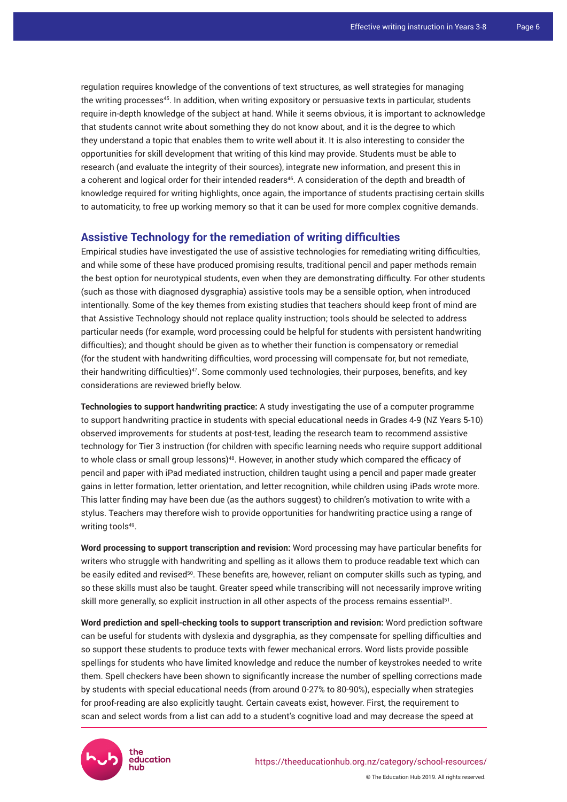regulation requires knowledge of the conventions of text structures, as well strategies for managing the writing processes<sup>45</sup>. In addition, when writing expository or persuasive texts in particular, students require in-depth knowledge of the subject at hand. While it seems obvious, it is important to acknowledge that students cannot write about something they do not know about, and it is the degree to which they understand a topic that enables them to write well about it. It is also interesting to consider the opportunities for skill development that writing of this kind may provide. Students must be able to research (and evaluate the integrity of their sources), integrate new information, and present this in a coherent and logical order for their intended readers<sup>46</sup>. A consideration of the depth and breadth of knowledge required for writing highlights, once again, the importance of students practising certain skills to automaticity, to free up working memory so that it can be used for more complex cognitive demands.

# **Assistive Technology for the remediation of writing difficulties**

Empirical studies have investigated the use of assistive technologies for remediating writing difficulties, and while some of these have produced promising results, traditional pencil and paper methods remain the best option for neurotypical students, even when they are demonstrating difficulty. For other students (such as those with diagnosed dysgraphia) assistive tools may be a sensible option, when introduced intentionally. Some of the key themes from existing studies that teachers should keep front of mind are that Assistive Technology should not replace quality instruction; tools should be selected to address particular needs (for example, word processing could be helpful for students with persistent handwriting difficulties); and thought should be given as to whether their function is compensatory or remedial (for the student with handwriting difficulties, word processing will compensate for, but not remediate, their handwriting difficulties)<sup>47</sup>. Some commonly used technologies, their purposes, benefits, and key considerations are reviewed briefly below.

**Technologies to support handwriting practice:** A study investigating the use of a computer programme to support handwriting practice in students with special educational needs in Grades 4-9 (NZ Years 5-10) observed improvements for students at post-test, leading the research team to recommend assistive technology for Tier 3 instruction (for children with specific learning needs who require support additional to whole class or small group lessons)<sup>48</sup>. However, in another study which compared the efficacy of pencil and paper with iPad mediated instruction, children taught using a pencil and paper made greater gains in letter formation, letter orientation, and letter recognition, while children using iPads wrote more. This latter finding may have been due (as the authors suggest) to children's motivation to write with a stylus. Teachers may therefore wish to provide opportunities for handwriting practice using a range of writing tools<sup>49</sup>.

**Word processing to support transcription and revision:** Word processing may have particular benefits for writers who struggle with handwriting and spelling as it allows them to produce readable text which can be easily edited and revised<sup>50</sup>. These benefits are, however, reliant on computer skills such as typing, and so these skills must also be taught. Greater speed while transcribing will not necessarily improve writing skill more generally, so explicit instruction in all other aspects of the process remains essential $^{51}$ .

**Word prediction and spell-checking tools to support transcription and revision:** Word prediction software can be useful for students with dyslexia and dysgraphia, as they compensate for spelling difficulties and so support these students to produce texts with fewer mechanical errors. Word lists provide possible spellings for students who have limited knowledge and reduce the number of keystrokes needed to write them. Spell checkers have been shown to significantly increase the number of spelling corrections made by students with special educational needs (from around 0-27% to 80-90%), especially when strategies for proof-reading are also explicitly taught. Certain caveats exist, however. First, the requirement to scan and select words from a list can add to a student's cognitive load and may decrease the speed at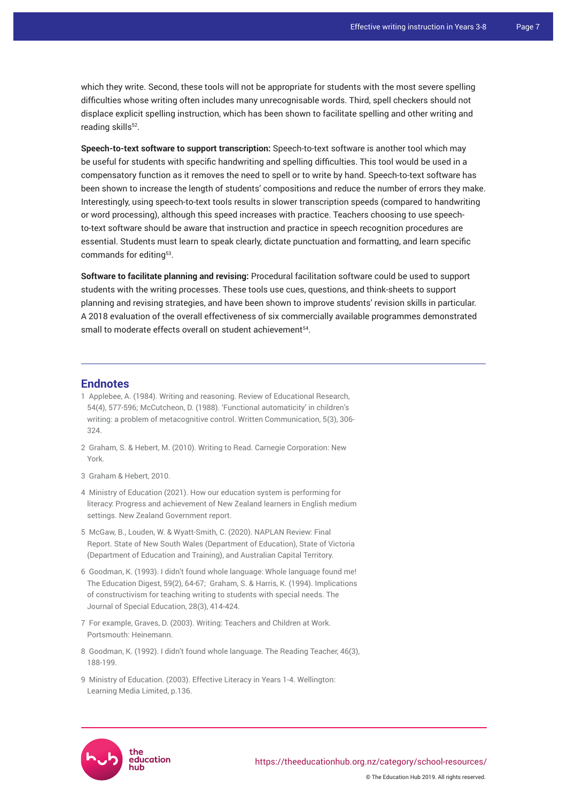which they write. Second, these tools will not be appropriate for students with the most severe spelling difficulties whose writing often includes many unrecognisable words. Third, spell checkers should not displace explicit spelling instruction, which has been shown to facilitate spelling and other writing and reading skills<sup>52</sup>.

**Speech-to-text software to support transcription:** Speech-to-text software is another tool which may be useful for students with specific handwriting and spelling difficulties. This tool would be used in a compensatory function as it removes the need to spell or to write by hand. Speech-to-text software has been shown to increase the length of students' compositions and reduce the number of errors they make. Interestingly, using speech-to-text tools results in slower transcription speeds (compared to handwriting or word processing), although this speed increases with practice. Teachers choosing to use speechto-text software should be aware that instruction and practice in speech recognition procedures are essential. Students must learn to speak clearly, dictate punctuation and formatting, and learn specific commands for editing<sup>53</sup>.

**Software to facilitate planning and revising:** Procedural facilitation software could be used to support students with the writing processes. These tools use cues, questions, and think-sheets to support planning and revising strategies, and have been shown to improve students' revision skills in particular. A 2018 evaluation of the overall effectiveness of six commercially available programmes demonstrated small to moderate effects overall on student achievement<sup>54</sup>.

#### **Endnotes**

- 1 Applebee, A. (1984). Writing and reasoning. Review of Educational Research, 54(4), 577-596; McCutcheon, D. (1988). 'Functional automaticity' in children's writing: a problem of metacognitive control. Written Communication, 5(3), 306- 324.
- 2 Graham, S. & Hebert, M. (2010). Writing to Read. Carnegie Corporation: New York.
- 3 Graham & Hebert, 2010.
- 4 Ministry of Education (2021). How our education system is performing for literacy: Progress and achievement of New Zealand learners in English medium settings. New Zealand Government report.
- 5 McGaw, B., Louden, W. & Wyatt-Smith, C. (2020). NAPLAN Review: Final Report. State of New South Wales (Department of Education), State of Victoria (Department of Education and Training), and Australian Capital Territory.
- 6 Goodman, K. (1993). I didn't found whole language: Whole language found me! The Education Digest, 59(2), 64-67; Graham, S. & Harris, K. (1994). Implications of constructivism for teaching writing to students with special needs. The Journal of Special Education, 28(3), 414-424.
- 7 For example, Graves, D. (2003). Writing: Teachers and Children at Work. Portsmouth: Heinemann.
- 8 Goodman, K. (1992). I didn't found whole language. The Reading Teacher, 46(3), 188-199.
- 9 Ministry of Education. (2003). Effective Literacy in Years 1-4. Wellington: Learning Media Limited, p.136.

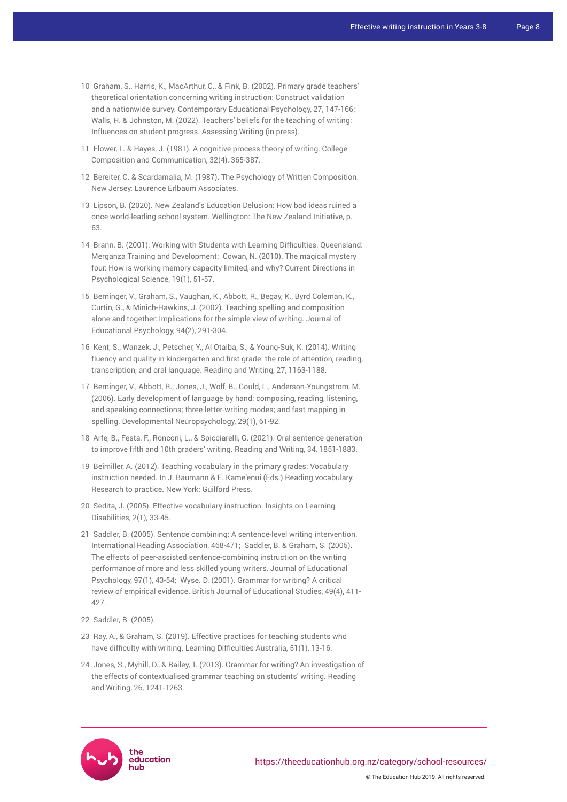- 10 Graham, S., Harris, K., MacArthur, C., & Fink, B. (2002). Primary grade teachers' theoretical orientation concerning writing instruction: Construct validation and a nationwide survey. Contemporary Educational Psychology, 27, 147-166; Walls, H. & Johnston, M. (2022). Teachers' beliefs for the teaching of writing: Influences on student progress. Assessing Writing (in press).
- 11 Flower, L. & Hayes, J. (1981). A cognitive process theory of writing. College Composition and Communication, 32(4), 365-387.
- 12 Bereiter, C. & Scardamalia, M. (1987). The Psychology of Written Composition. New Jersey: Laurence Erlbaum Associates.
- 13 Lipson, B. (2020). New Zealand's Education Delusion: How bad ideas ruined a once world-leading school system. Wellington: The New Zealand Initiative, p. 63.
- 14 Brann, B. (2001). Working with Students with Learning Difficulties. Queensland: Merganza Training and Development; Cowan, N. (2010). The magical mystery four: How is working memory capacity limited, and why? Current Directions in Psychological Science, 19(1), 51-57.
- 15 Berninger, V., Graham, S., Vaughan, K., Abbott, R., Begay, K., Byrd Coleman, K., Curtin, G., & Minich-Hawkins, J. (2002). Teaching spelling and composition alone and together: Implications for the simple view of writing. Journal of Educational Psychology, 94(2), 291-304.
- 16 Kent, S., Wanzek, J., Petscher, Y., Al Otaiba, S., & Young-Suk, K. (2014). Writing fluency and quality in kindergarten and first grade: the role of attention, reading, transcription, and oral language. Reading and Writing, 27, 1163-1188.
- 17 Berninger, V., Abbott, R., Jones, J., Wolf, B., Gould, L., Anderson-Youngstrom, M. (2006). Early development of language by hand: composing, reading, listening, and speaking connections; three letter-writing modes; and fast mapping in spelling. Developmental Neuropsychology, 29(1), 61-92.
- 18 Arfe, B., Festa, F., Ronconi, L., & Spicciarelli, G. (2021). Oral sentence generation to improve fifth and 10th graders' writing. Reading and Writing, 34, 1851-1883.
- 19 Beimiller, A. (2012). Teaching vocabulary in the primary grades: Vocabulary instruction needed. In J. Baumann & E. Kame'enui (Eds.) Reading vocabulary: Research to practice. New York: Guilford Press.
- 20 Sedita, J. (2005). Effective vocabulary instruction. Insights on Learning Disabilities, 2(1), 33-45.
- 21 Saddler, B. (2005). Sentence combining: A sentence-level writing intervention. International Reading Association, 468-471; Saddler, B. & Graham, S. (2005). The effects of peer-assisted sentence-combining instruction on the writing performance of more and less skilled young writers. Journal of Educational Psychology, 97(1), 43-54; Wyse. D. (2001). Grammar for writing? A critical review of empirical evidence. British Journal of Educational Studies, 49(4), 411- 427.
- 22 Saddler, B. (2005).
- 23 Ray, A., & Graham, S. (2019). Effective practices for teaching students who have difficulty with writing. Learning Difficulties Australia, 51(1), 13-16.
- 24 Jones, S., Myhill, D., & Bailey, T. (2013). Grammar for writing? An investigation of the effects of contextualised grammar teaching on students' writing. Reading and Writing, 26, 1241-1263.



© The Education Hub 2019. All rights reserved.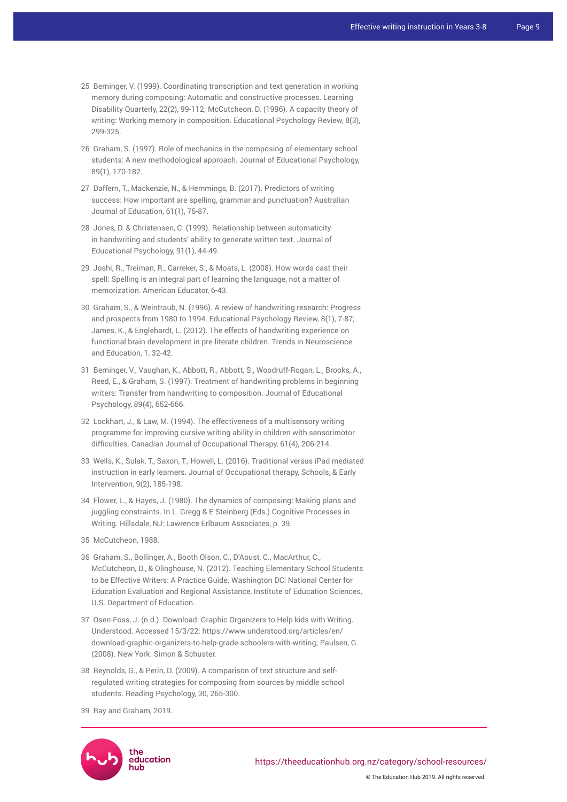- 25 Berninger, V. (1999). Coordinating transcription and text generation in working memory during composing: Automatic and constructive processes. Learning Disability Quarterly, 22(2), 99-112; McCutcheon, D. (1996). A capacity theory of writing: Working memory in composition. Educational Psychology Review, 8(3), 299-325.
- 26 Graham, S. (1997). Role of mechanics in the composing of elementary school students: A new methodological approach. Journal of Educational Psychology, 89(1), 170-182.
- 27 Daffern, T., Mackenzie, N., & Hemmings, B. (2017). Predictors of writing success: How important are spelling, grammar and punctuation? Australian Journal of Education, 61(1), 75-87.
- 28 Jones, D. & Christensen, C. (1999). Relationship between automaticity in handwriting and students' ability to generate written text. Journal of Educational Psychology, 91(1), 44-49.
- 29 Joshi, R., Treiman, R., Carreker, S., & Moats, L. (2008). How words cast their spell: Spelling is an integral part of learning the language, not a matter of memorization. American Educator, 6-43.
- 30 Graham, S., & Weintraub, N. (1996). A review of handwriting research: Progress and prospects from 1980 to 1994. Educational Psychology Review, 8(1), 7-87; James, K., & Englehardt, L. (2012). The effects of handwriting experience on functional brain development in pre-literate children. Trends in Neuroscience and Education, 1, 32-42.
- 31 Berninger, V., Vaughan, K., Abbott, R., Abbott, S., Woodruff-Rogan, L., Brooks, A., Reed, E., & Graham, S. (1997). Treatment of handwriting problems in beginning writers: Transfer from handwriting to composition. Journal of Educational Psychology, 89(4), 652-666.
- 32 Lockhart, J., & Law, M. (1994). The effectiveness of a multisensory writing programme for improving cursive writing ability in children with sensorimotor difficulties. Canadian Journal of Occupational Therapy, 61(4), 206-214.
- 33 Wells, K., Sulak, T., Saxon, T., Howell, L. (2016). Traditional versus iPad mediated instruction in early learners. Journal of Occupational therapy, Schools, & Early Intervention, 9(2), 185-198.
- 34 Flower, L., & Hayes, J. (1980). The dynamics of composing: Making plans and juggling constraints. In L. Gregg & E Steinberg (Eds.) Cognitive Processes in Writing. Hillsdale, NJ: Lawrence Erlbaum Associates, p. 39.
- 35 McCutcheon, 1988.
- 36 Graham, S., Bollinger, A., Booth Olson, C., D'Aoust, C., MacArthur, C., McCutcheon, D., & Olinghouse, N. (2012). Teaching Elementary School Students to be Effective Writers: A Practice Guide. Washington DC: National Center for Education Evaluation and Regional Assistance, Institute of Education Sciences, U.S. Department of Education.
- 37 Osen-Foss, J. (n.d.). Download: Graphic Organizers to Help kids with Writing. Understood. Accessed 15/3/22: [https://www.understood.org/articles/en/](https://www.understood.org/articles/en/download-graphic-organizers-to-help-grade-schoolers-with-writing) [download-graphic-organizers-to-help-grade-schoolers-with-writing](https://www.understood.org/articles/en/download-graphic-organizers-to-help-grade-schoolers-with-writing); Paulsen, G. (2008). New York: Simon & Schuster.
- 38 Reynolds, G., & Perin, D. (2009). A comparison of text structure and selfregulated writing strategies for composing from sources by middle school students. Reading Psychology, 30, 265-300.
- 39 Ray and Graham, 2019.



© The Education Hub 2019. All rights reserved.